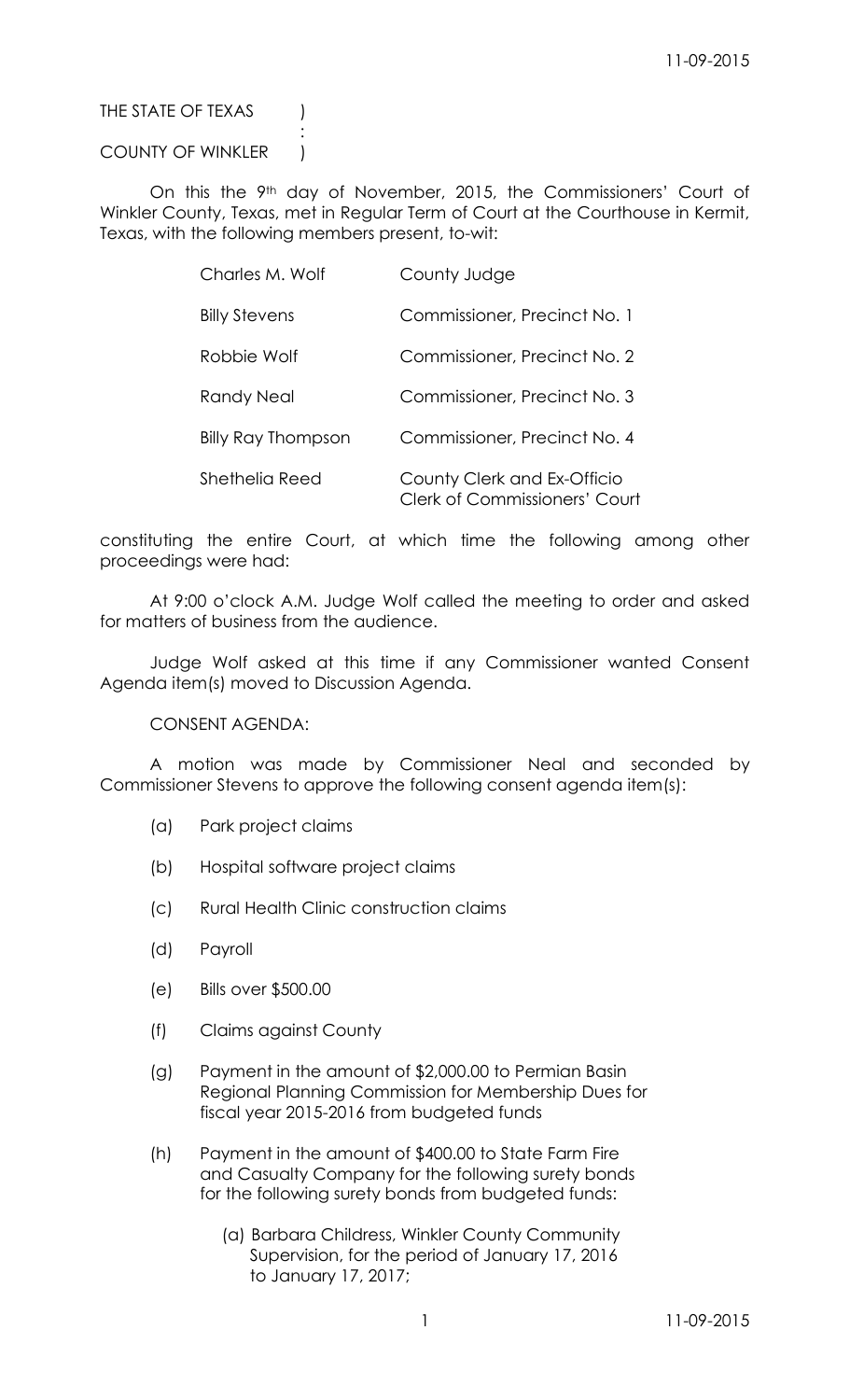## THE STATE OF TEXAS (

## COUNTY OF WINKLER |

:

On this the 9<sup>th</sup> day of November, 2015, the Commissioners' Court of Winkler County, Texas, met in Regular Term of Court at the Courthouse in Kermit, Texas, with the following members present, to-wit:

| Charles M. Wolf      | County Judge                                                        |
|----------------------|---------------------------------------------------------------------|
| <b>Billy Stevens</b> | Commissioner, Precinct No. 1                                        |
| Robbie Wolf          | Commissioner, Precinct No. 2                                        |
| <b>Randy Neal</b>    | Commissioner, Precinct No. 3                                        |
| Billy Ray Thompson   | Commissioner, Precinct No. 4                                        |
| Shethelia Reed       | County Clerk and Ex-Officio<br><b>Clerk of Commissioners' Court</b> |

constituting the entire Court, at which time the following among other proceedings were had:

At 9:00 o'clock A.M. Judge Wolf called the meeting to order and asked for matters of business from the audience.

Judge Wolf asked at this time if any Commissioner wanted Consent Agenda item(s) moved to Discussion Agenda.

CONSENT AGENDA:

A motion was made by Commissioner Neal and seconded by Commissioner Stevens to approve the following consent agenda item(s):

- (a) Park project claims
- (b) Hospital software project claims
- (c) Rural Health Clinic construction claims
- (d) Payroll
- (e) Bills over \$500.00
- (f) Claims against County
- (g) Payment in the amount of \$2,000.00 to Permian Basin Regional Planning Commission for Membership Dues for fiscal year 2015-2016 from budgeted funds
- (h) Payment in the amount of \$400.00 to State Farm Fire and Casualty Company for the following surety bonds for the following surety bonds from budgeted funds:
	- (a) Barbara Childress, Winkler County Community Supervision, for the period of January 17, 2016 to January 17, 2017;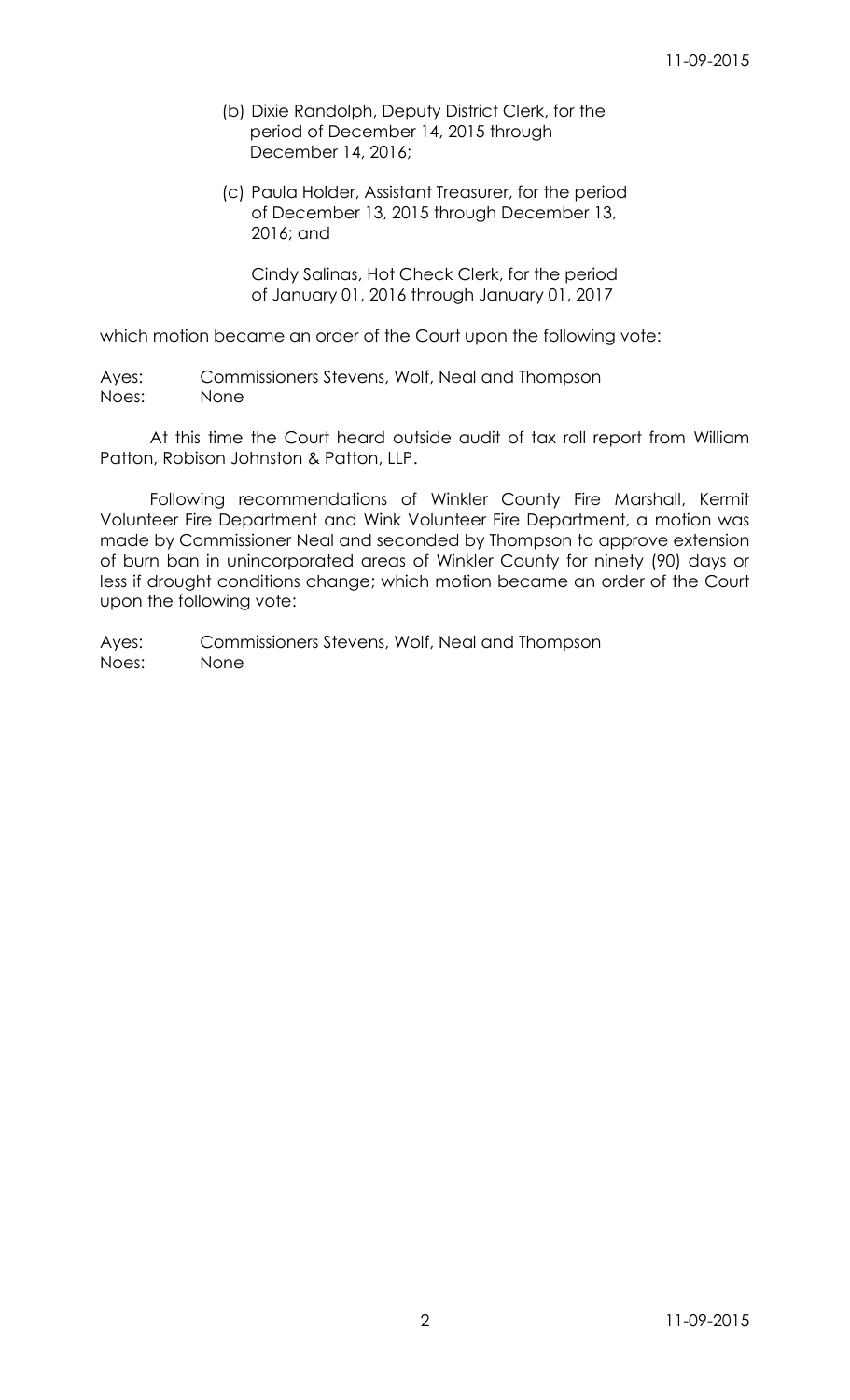- (b) Dixie Randolph, Deputy District Clerk, for the period of December 14, 2015 through December 14, 2016;
- (c) Paula Holder, Assistant Treasurer, for the period of December 13, 2015 through December 13, 2016; and

Cindy Salinas, Hot Check Clerk, for the period of January 01, 2016 through January 01, 2017

which motion became an order of the Court upon the following vote:

Ayes: Commissioners Stevens, Wolf, Neal and Thompson Noes: None

At this time the Court heard outside audit of tax roll report from William Patton, Robison Johnston & Patton, LLP.

Following recommendations of Winkler County Fire Marshall, Kermit Volunteer Fire Department and Wink Volunteer Fire Department, a motion was made by Commissioner Neal and seconded by Thompson to approve extension of burn ban in unincorporated areas of Winkler County for ninety (90) days or less if drought conditions change; which motion became an order of the Court upon the following vote:

Ayes: Commissioners Stevens, Wolf, Neal and Thompson Noes: None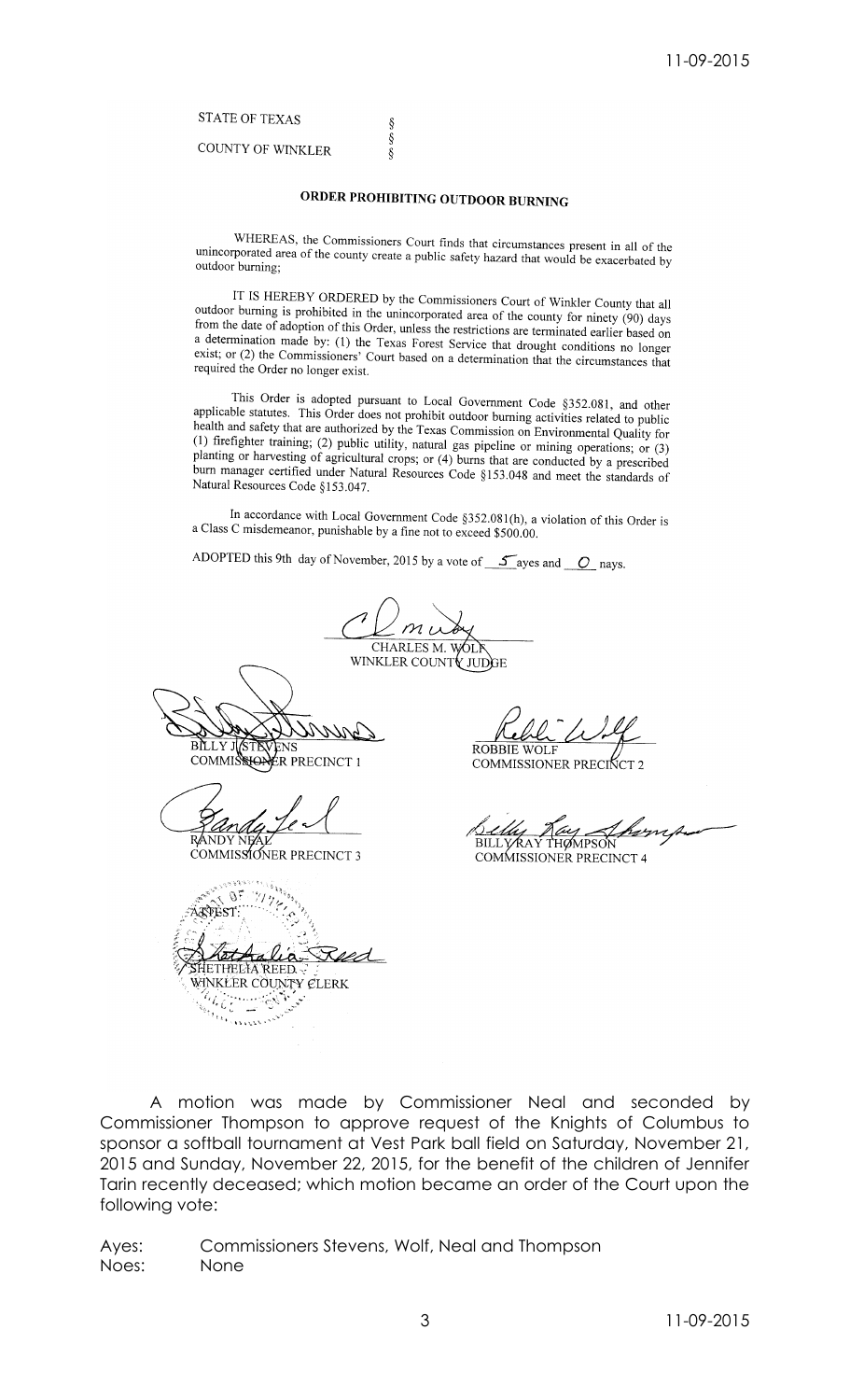## **STATE OF TEXAS**

**COUNTY OF WINKLER** 

## ORDER PROHIBITING OUTDOOR BURNING

 $\S$  $\S$ 

 $\delta$ 

WHEREAS, the Commissioners Court finds that circumstances present in all of the unincorporated area of the county create a public safety hazard that would be exacerbated by outdoor burning;

IT IS HEREBY ORDERED by the Commissioners Court of Winkler County that all outdoor burning is prohibited in the unincorporated area of the county for ninety (90) days from the date of adoption of this Order, unless the restrictions are terminated earlier based on a determination made by: (1) the Texas Forest Service that drought conditions no longer exist; or (2) the Commissioners' Court based on a determination that the circumstances that required the Order no longer exist.

This Order is adopted pursuant to Local Government Code §352.081, and other applicable statutes. This Order does not prohibit outdoor burning activities related to public health and safety that are authorized by the Texas Commission on Environmental Quality for (1) firefighter training; (2) public utility, natural gas pipeline or mining operations; or (3) planting or harvesting of agricultural crops; or (4) burns that are conducted by a prescribed burn manager certified under Natural Resources Code §153.048 and meet the standards of Natural Resources Code §153.047.

In accordance with Local Government Code §352.081(h), a violation of this Order is a Class C misdemeanor, punishable by a fine not to exceed \$500.00.

ADOPTED this 9th day of November, 2015 by a vote of  $\frac{1}{\sqrt{2}}$  ayes and  $\frac{1}{\sqrt{2}}$  nays.

CHARLES M. WOLT

WINKLER COUNTY JUDGE

BILLY JASTEVENS

COMMISSIONER PRECINCT 3

 $\theta$ **ARTEST** sed IETHELIA REED. WINKLER COUNTY CLERK Change Change **Krommer** 

**ROBBIE WOLF** 

COMMISSIONER PRECINCT

BILLYRAY THOMPSON

A motion was made by Commissioner Neal and seconded by Commissioner Thompson to approve request of the Knights of Columbus to sponsor a softball tournament at Vest Park ball field on Saturday, November 21, 2015 and Sunday, November 22, 2015, for the benefit of the children of Jennifer Tarin recently deceased; which motion became an order of the Court upon the following vote:

Commissioners Stevens, Wolf, Neal and Thompson Ayes: Noes: None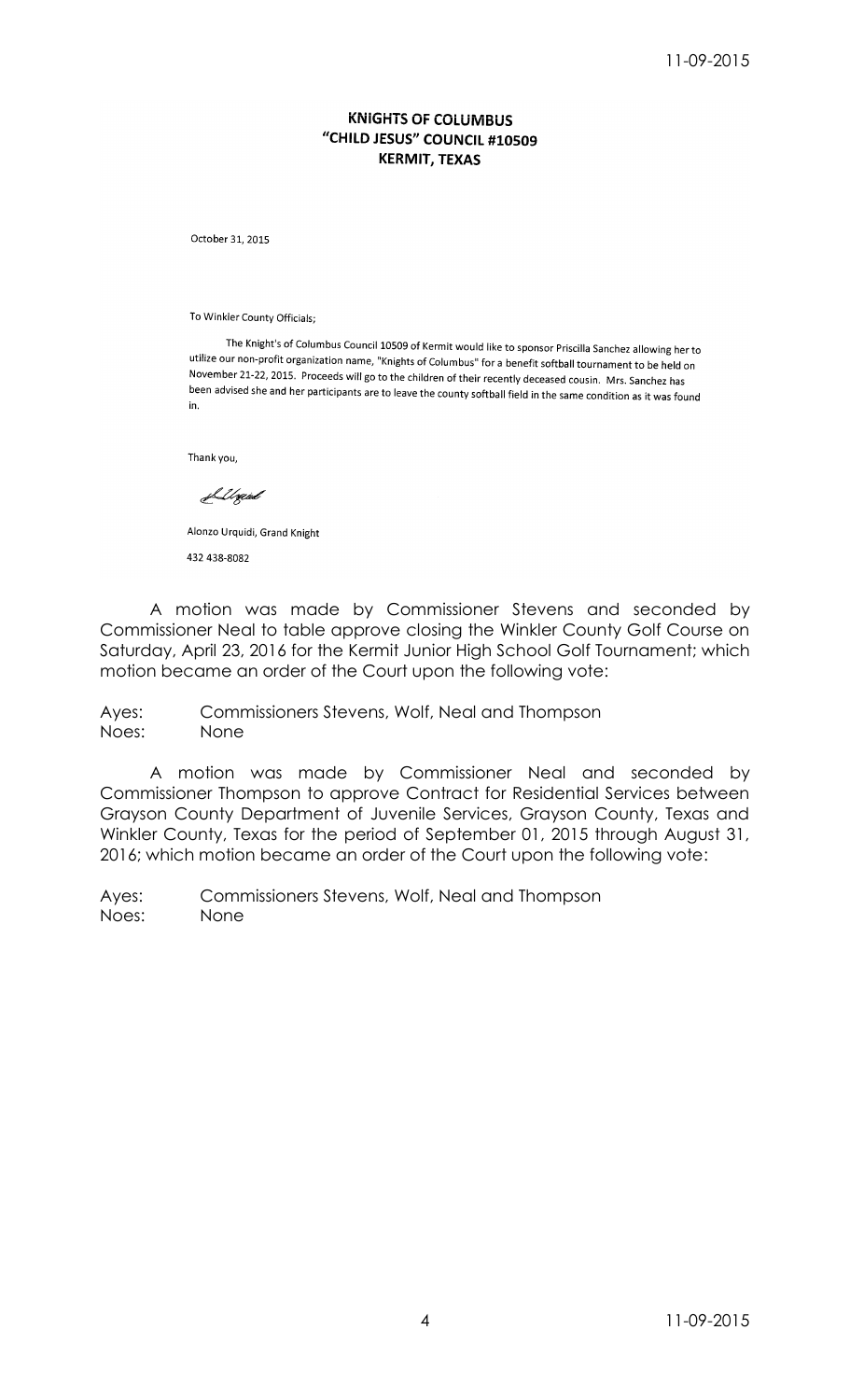## **KNIGHTS OF COLUMBUS** "CHILD JESUS" COUNCIL #10509 **KERMIT, TEXAS**

October 31, 2015

To Winkler County Officials;

The Knight's of Columbus Council 10509 of Kermit would like to sponsor Priscilla Sanchez allowing her to utilize our non-profit organization name, "Knights of Columbus" for a benefit softball tournament to be held on November 21-22, 2015. Proceeds will go to the children of their recently deceased cousin. Mrs. Sanchez has been advised she and her participants are to leave the county softball field in the same condition as it was found in.

Thank you,

<u>S</u>Ugard

Alonzo Urquidi, Grand Knight 432 438-8082

A motion was made by Commissioner Stevens and seconded by Commissioner Neal to table approve closing the Winkler County Golf Course on Saturday, April 23, 2016 for the Kermit Junior High School Golf Tournament; which motion became an order of the Court upon the following vote:

Ayes: Commissioners Stevens, Wolf, Neal and Thompson Noes: None

A motion was made by Commissioner Neal and seconded by Commissioner Thompson to approve Contract for Residential Services between Grayson County Department of Juvenile Services, Grayson County, Texas and Winkler County, Texas for the period of September 01, 2015 through August 31, 2016; which motion became an order of the Court upon the following vote:

Ayes: Commissioners Stevens, Wolf, Neal and Thompson Noes: None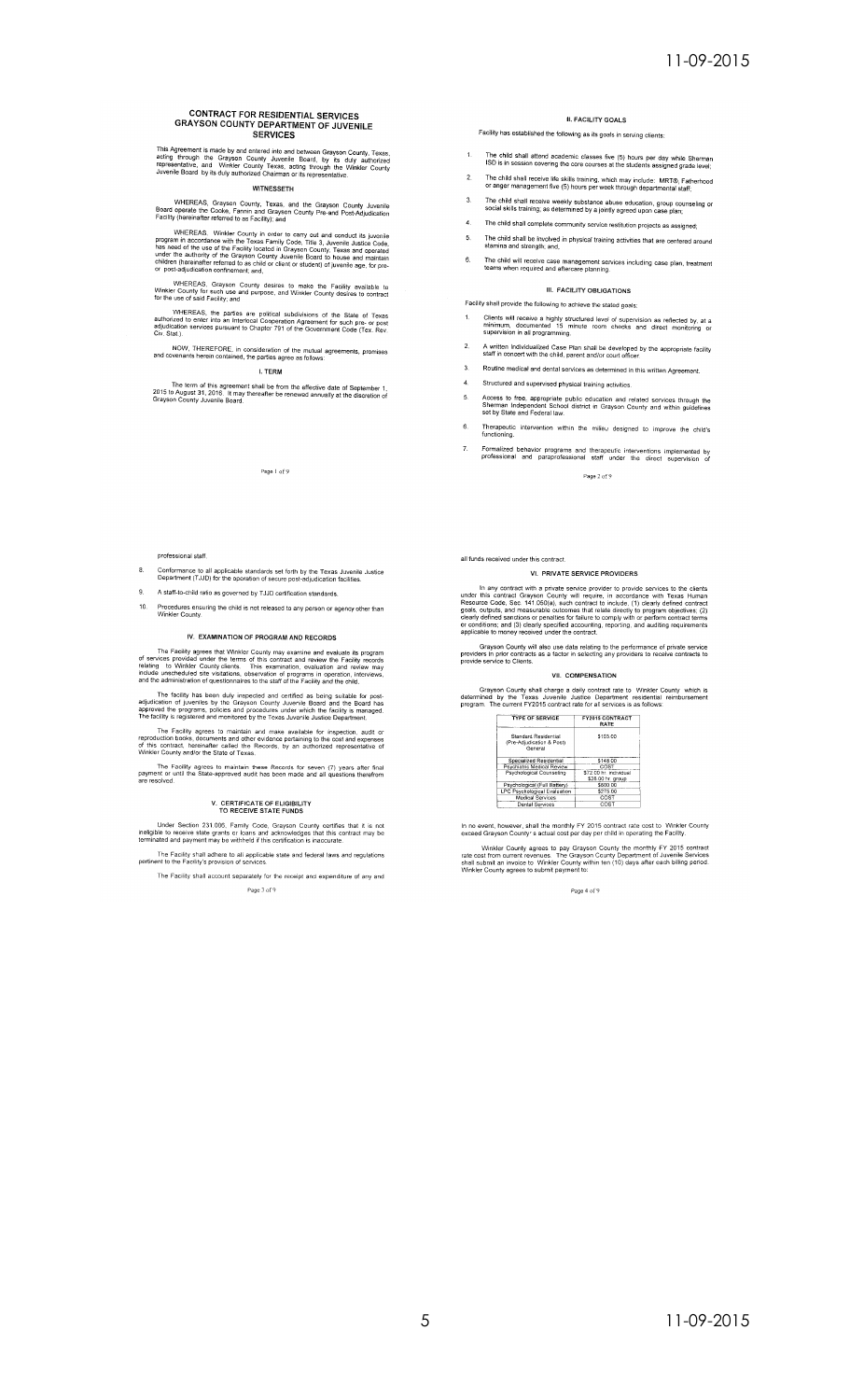# **CONTRACT FOR RESIDENTIAL SERVICES<br>GRAYSON COUNTY DEPARTMENT OF JUVENILE<br>SERVICES**

This Agreement is made by and entered into and between Grayson County, Texas,<br>acting through the Grayson County Juvenile Board, by its duly authorized<br>representative, and Winkler County Texas, acting through the Winkler Co

### WITNESSETH

WHEREAS, Grayson County, Texas, and the Grayson County Juvenile<br>Board operate the Cooke, Fannin and Grayson County Pre-and Post-Adjudication<br>Facility (hereinafter referred to as Facility); and

WHEREAS, Winkler County in order to carry out and conduct its juvenile<br>program in accordance with the Texas Family Code, Title 3, Juvenile Justice Code,<br>has need of the use of the Facility located in Crayson County, Texas

WHEREAS, Grayson County desires to make the Facility available to<br>Winkler County for such use and purpose, and Winkler County desires to contract<br>for the use of said Facility; and

WHEREAS, the parties are political subdivisions of the State of Texas<br>authorized to enter into an Interlocal Cooperation Agreement for such pre- or post<br>adjudication services pursuant to Chapter 791 of the Government Code

## NOW, THEREFORE, in consideration of the mutual agreements, promises and covenants herein contained, the parties agree as follows:

I. TERM

The term of this agreement shall be from the effective date of September 1,<br>2015 to August 31, 2016. It may thereafter be renewed annually at the discretion of<br>Grayson County Juvenile Board.

Page 1 of 9

#### professional staff.

- Conformance to all applicable standards set forth by the Texas Juvenile Justice<br>Department (TJJD) for the operation of secure post-adjudication facilities.
- 9. A staff-to-child ratio as governed by TJJD certification standards.
- 10. Procedures ensuring the child is not released to any person or agency other than

#### IV. EXAMINATION OF PROGRAM AND RECORDS

The Facility agrees that Winkler County may examine and evaluate its program<br>of services provided under the terms of this contract and review the Facility records<br>relating to Winkler County clients. This examination, evalu

The facility has been duly inspected and certified as being suitable for post-<br>ication of juveniles by the Grayson County Juvenile Board and the Board has<br>ved the programs, policies and procedures under which the facility

The Facility agrees to maintain and make available for inspection, audit or<br>production books, documents and other evidence pertaining to the cost and expenses<br>this contract, hereinafter called the Records, by an authorized

The Facility agrees to maintain these Records for seven (7) years after final<br>payment or until the State-approved audit has been made and all questions therefrom<br>are resolved.

## V. CERTIFICATE OF ELIGIBILITY<br>TO RECEIVE STATE FUNDS

Under Section 231.006, Family Code, Grayson County certifies that it is not<br>ineligible to receive state grants or loans and acknowledges that this contract may be<br>terminated and payment may be withheld if this certificatio

The Facility shall adhere to all applicable state and federal laws and regulations pertinent to the Facility's provision of services.

The Facility shall account separately for the receipt and expenditure of any and Page 3 of 9

## **II. FACILITY GOALS**

- Facility has established the following as its goals in serving clients
- $1.$ The child shall attend academic classes five (5) hours per day while Sherman<br>ISD is in session covering the core courses at the students assigned grade level;
- The child shall receive life skills training, which may include: MRT®, Fatherhood<br>or anger management five (5) hours per week through departmental staff;  $2.$
- 3. The child shall receive weekly substance abuse education, group counseling or<br>social skills training; as determined by a jointly agreed upon case plan;
- 
- 4. The child shall complete community service restitution projects as assigned;  $5.$ The child shall be involved in physical training activities that are centered around stamina and strength; and,
- 6. The child will receive case management services including case plan, treatment

### III. FACILITY OBLIGATIONS

- Facility shall provide the following to achieve the stated goals: Clients will receive a highly structured level of supervision as reflected by, at a<br>minimum, documented 15 minute room checks and direct monitoring or<br>supervision in all programming.
- 2. A written Individualized Case Plan shall be developed by the appropriate facility<br>staff in concert with the child, parent and/or court officer.
- 3. Routine medical and dental services as determined in this written Agreement.
- $\overline{A}$ Structured and supervised physical training activities.
- 
- Access to free, appropriate public education and related services through the<br>Sherman Independent School district in Grayson County and within guidelines<br>set by State and Federal law.
- 6. Therapeutic intervention within the milieu designed to improve the child's functioning.
- Formalized behavior programs and therapeutic interventions implemented by<br>professional and paraprofessional staff under the direct supervision of  $\bar{z}$

Page 2 of 9

## all funds received under this contract.

 $\Gamma$ 

#### VI. PRIVATE SERVICE PROVIDERS

In any contract with a private service provider to provide services to the clients<br>under this contract Grayson County will require, in accordance with Texas Human<br>Resource Code, Sec. 141.050(a), such contract to include, (

Grayson County will also use data relating to the performance of private service<br>providers in prior contracts as a factor in selecting any providers to receive contracts to<br>provide service to Clients.

#### VII. COMPENSATION

Grayson County shall charge a daily contract rate to Winkler County which is<br>determined by the Texas Juvenile Justice Department residential reimbursement<br>program. The current FY2015 contract rate for all services is as fo

| <b>TYPE OF SERVICE</b>                                              | <b>FY2015 CONTRACT</b><br>RATE |
|---------------------------------------------------------------------|--------------------------------|
| <b>Standard Residential</b><br>(Pre-Adjudication & Post)<br>General | \$103.00                       |
| Specialized Residential                                             | \$148.00                       |
| Psychiatric Medical Review                                          | COST                           |
| Psychological Counseling                                            | \$72.00 hr individual          |
|                                                                     | \$28.00 hr. group              |
| Psychological (Full Battery)                                        | \$600.00                       |
| <b>LPC Psychological Evaluation</b>                                 | \$275.00                       |
| Medical Services                                                    | COST                           |
| Dental Services                                                     | COST                           |

In no event, however, shall the monthly FY 2015 contract rate cost to Winkler County<br>exceed Grayson County's actual cost per day per child in operating the Facility.

Winkler County agrees to pay Grayson County the monthly FY 2015 contract<br>rate cost from current revenues. The Grayson County Department of Juvenile Services<br>shall submit an invoice to Winkler County within ten (10) days af

Page 4 of 9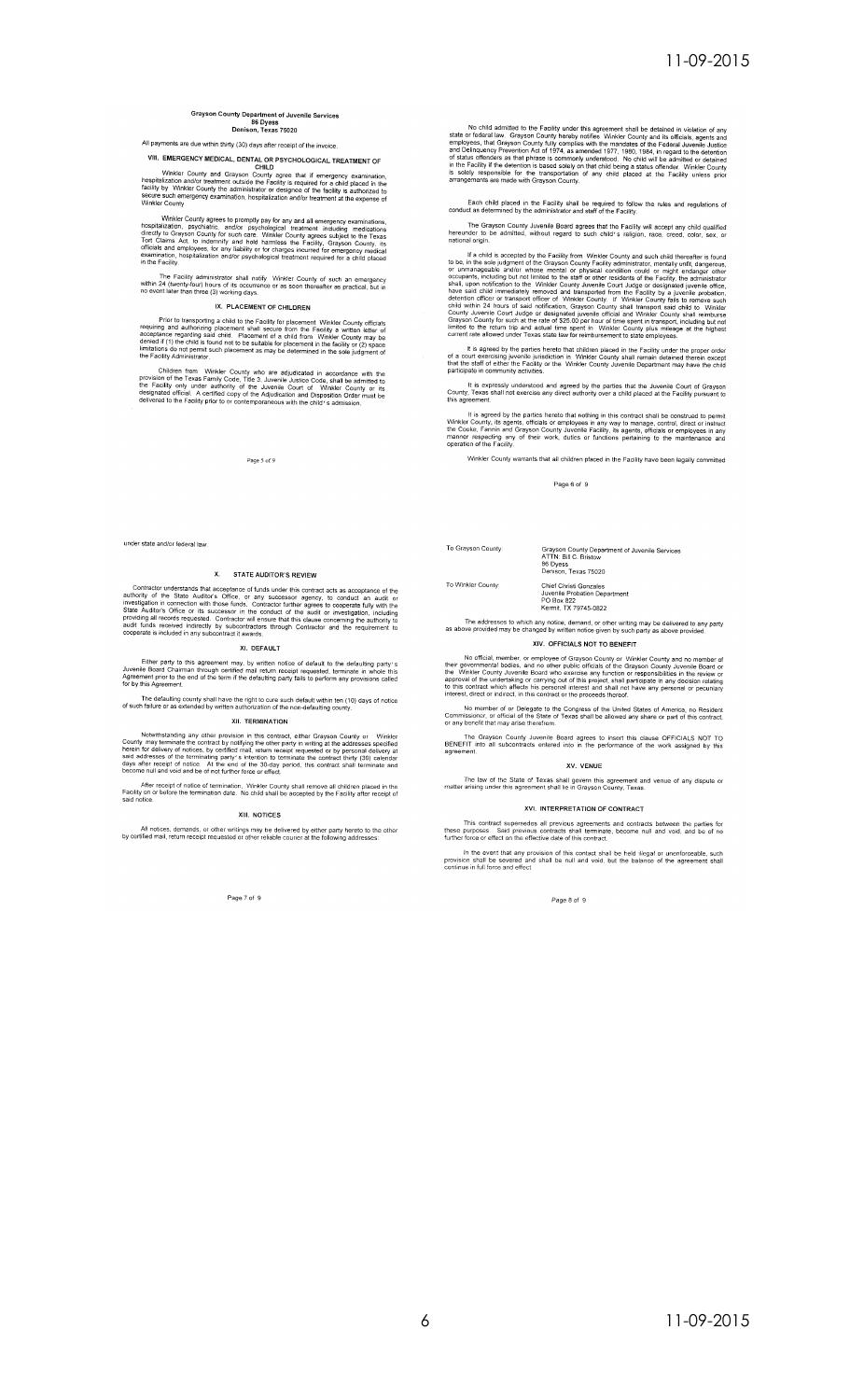# Grayson County Department of Juvenile Services<br>86 Dyess<br>Denison, Texas 75020

## All payments are due within thirty (30) days after receipt of the invoice.

VIII. EMERGENCY MEDICAL, DENTAL OR PSYCHOLOGICAL TREATMENT OF

Winkler County and Grayson CHILD<br>hospitalization and/or treatment outside the Facility is required for a child placed in the<br>facility is required for a child placed in the<br>facility by Winkler County the administrator or de

Winkler County agrees to promptly pay for any and all emergency examinations, hospitalization, psychiatric, and/or psychological treatment including medications directly to Grayson County for such that the Charles Tort Cla

The Facility administrator shall notify Winkler County of such an emergency<br>within 24 (twenty-four) hours of its occurrence or as soon thereafter as practical, but in<br>no event later than three (3) working days.

#### IX. PLACEMENT OF CHILDREN

Prior to transporting a child to the Facility for placement Winkler County officials<br>requiring an authorizing placement shall secure from the Facility a written letter of<br>acceptance regarding said child. Placement of a chi

Children from Winkler County who are adjudicated in accordance with the provision of the Texas Family Code, Title 3, Juvenile Justice Code, shall be admitted to the Teclify only under authority of the Juvenile County or th

Page 5 of 9

under state and/or federal law.

#### X. STATE AUDITOR'S REVIEW

Contractor understands that acceptance of funds under this contract acts as acceptance of the authority of the State Auditor's Office, or any successor agency, to conduct an audit or investigation in cometrion with those f

#### XI. DEFAULT

Either party to this agreement may, by written notice of default to the defaulting party's Juvenile Board Chairman through certified mail return receipt requested, terminate in whole this Agreement prior to the end of the

The defaulting county shall have the right to cure such default within ten (10) days of notice<br>of such failure or as extended by written authorization of the non-defaulting county.

### **XII. TERMINATION**

Notwithstanding any other provision in this contract, either Grayson County or Winkler<br>County may terminate the contract by notifying the other party in writing at the addresses specified<br>herein for delivery of notices, by

After receipt of notice of termination, Winkler County shall remove all children placed in the Facility on or before the termination date. No child shall be accepted by the Facility after receipt of said notice.

#### XIII. NOTICES

All notices, demands, or other writings may be delivered by either party hereto to the other<br>by certified mail, return receipt requested or other reliable courier at the following addresses:

Page 7 of 9

No child admitted to the Facility under this agreement shall be detained in violation of any<br>state or federal law. Grayson County hereby notifies Winkler County and its officials, agents and<br>employees, that Grayson County

Each child placed in the Facility shall be required to follow the rules and regulations of conduct as determined by the administrator and staff of the Facility.

The Grayson County Juvenile Board agrees that the Facility will accept any child qualified<br>hereunder to be admitted, without regard to such child's religion, race, creed, color, sex, or<br>national origin,

Institution of the complete by the Facility from Winkler County and such child thereafter is found<br>to be, in the sole judgment of the Grayson County Facility administrator, mentally unfit, dangerous,<br>or unmanageable and/or

It is agreed by the parties hereto that children placed in the Facility under the proper order of a court exercising juvenile jurisdiction in Winkler County shall remain detained therein except that the staff of either th

It is expressly understood and agreed by the parties that the Juvenile Court of Grayson<br>County, Texas shall not exercise any direct authority over a child placed at the Facility pursuant to<br>this agreement.

It is agreed by the parties hereto that nothing in this contract shall be construed to permit<br>Winkler County, its agents, officials or employees in any way to manage, control, direct or instruct<br>the Cooke, Fannin and Grays

Winkler County warrants that all children placed in the Facility have been legally committed

Page 6 of 9

To Grayson County:

To Winkler County:

Grayson County Department of Juvenile Services<br>ATTN: Bill C. Bristow<br>86 Dyess<br>Denison, Texas 75020 Chief Christi Gonzales<br>Juvenile Probation Department<br>PO Box 822<br>Kermit, TX 79745-0822

The addresses to which any notice, demand, or other writing may be delivered to any party<br>as above provided may be changed by written notice given by such party as above provided.

### XIV. OFFICIALS NOT TO BENEFIT

No official, member, or employee of Grayson Count-Time Winkler County and no member of<br>their governmental bodies, and no other public officials of the Grayson County Juvenile Board of<br>the Winkler County Juvenile Board with

No member of or Delegate to the Congress of the United States of America, no Resident<br>Commissioner, or official of the State of Texas shall be allowed any share or part of this contract,<br>or any benefit that may arise there

The Grayson County Juvenile Board agrees to insert this clause OFFICIALS NOT TO BENEFIT into all subcontracts entered into in the performance of the work assigned by this

XV. VENUE The law of the State of Texas shall govern this agreement and venue of any dispute or matter arising under this agreement shall lie in Grayson County, Texas.

#### XVI. INTERPRETATION OF CONTRACT

This contract supersedes all previous agreements and contracts between the parties for<br>these purposes. Said previous contracts shall terminate, become null and void, and be of no<br>further force or effect on the effective da

In the event that any provision of this contact shall be held illegal or unenforceable, such provision shall be newered and shall be null and void, but the balance of the agreement shall continue in full force and effect.

Page 8 of 9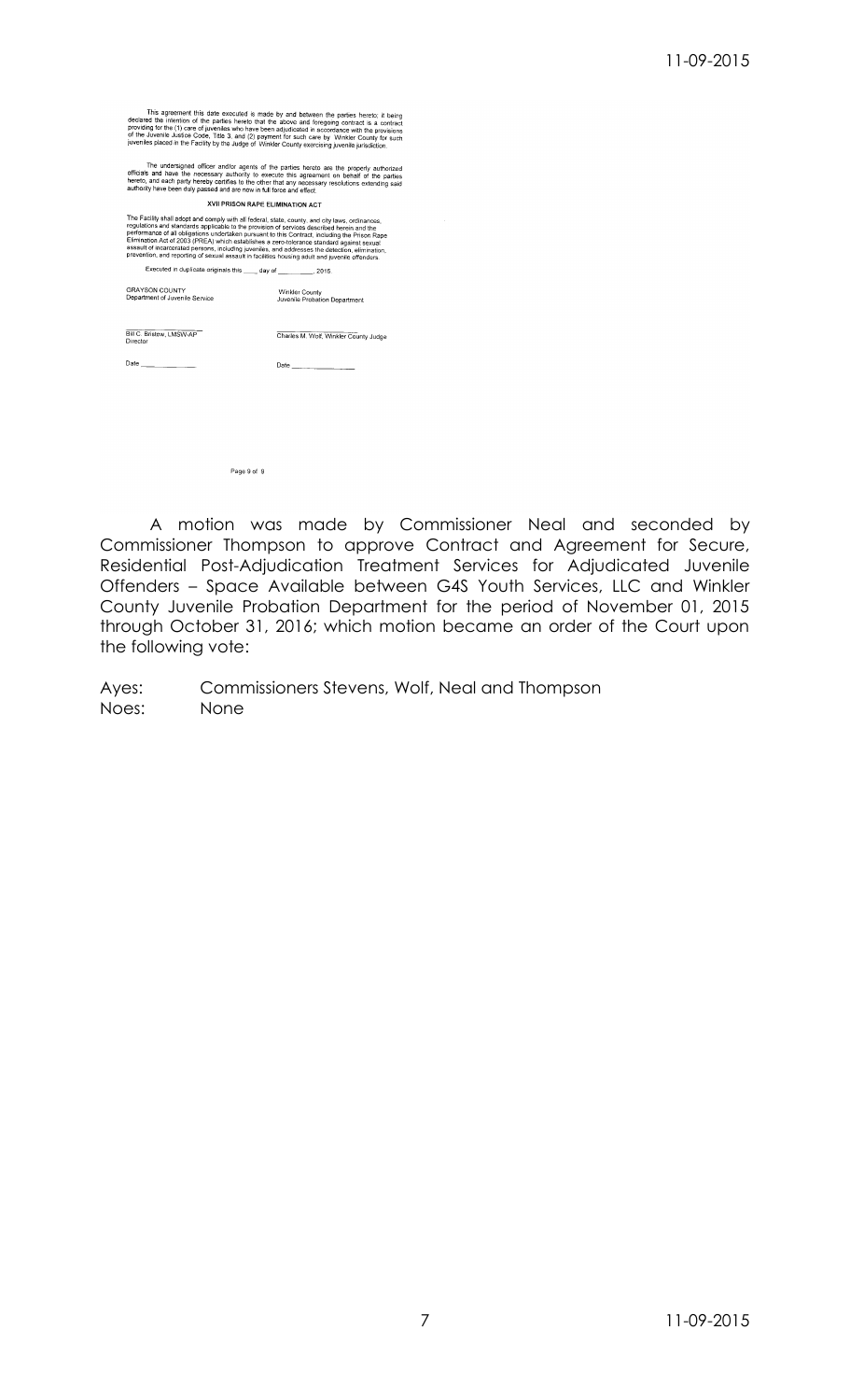This agreement this date executed is made by and between the parties hereto; it being<br>decirated the intention of the parties hereto that the above and foregoing contract is a contract<br>providing for the diversifies of the d

The undersigned officer and/or agents of the parties hereto are the properly authorized<br>officials and have the necessary authority to execute this agreement on behalf of the parties<br>hereto, and each party hereby certifies

**XVII PRISON RAPE ELIMINATION ACT** 

The Facility shall adopt and comply with all federal, state, county, and city laws, ordinances,<br>regulations and standards applicable to the provision of services described herein and the<br>performance of all obligations unde Executed in duplicate originals this \_\_\_\_\_ day of \_\_\_\_\_\_\_  $.2015$ 

GRAYSON COUNTY<br>Department of Juvenile Service Winkler County<br>Juvenile Probation Department

Bill C. Bristow, LMSW-AP Charles M. Wolf, Winkler County Judge

**Date** 

Page 9 of 9

A motion was made by Commissioner Neal and seconded by Commissioner Thompson to approve Contract and Agreement for Secure, Residential Post-Adjudication Treatment Services for Adjudicated Juvenile Offenders – Space Available between G4S Youth Services, LLC and Winkler County Juvenile Probation Department for the period of November 01, 2015 through October 31, 2016; which motion became an order of the Court upon the following vote:

Ayes: Commissioners Stevens, Wolf, Neal and Thompson<br>Noes: None None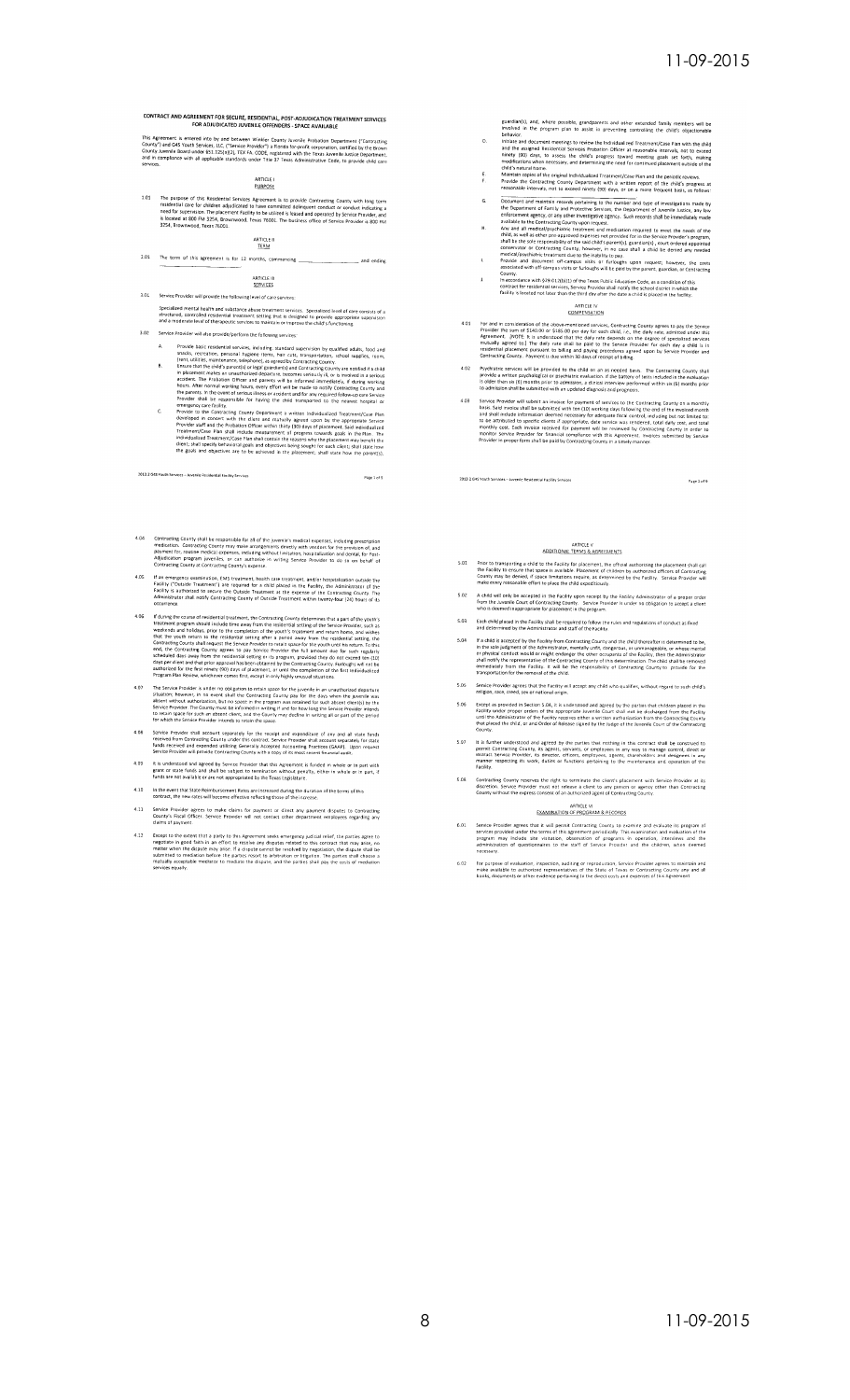CONTRACT AND AGREEMENT FOR SECURE, RESIDENTIAL, POST-ADJUDICATION TREATMENT SERVICES<br>FOR ADJUDICATED JUVENILE OFFENDERS - SPACE AVAILABLE

This Agreement is entered into by and between Winkler County Juvenile Probation Department ("Contracting<br>County") and G4S Youth Services, LLC, "Service Provider") a Florida for-profit corporation, certified by the Brown<br>Co

## ARTICLE I<br>PURPOSE

101 The purpose of this Residential Services Agreement is to provide Contracting County with long term<br>residential Care for children adjustance to have committed delinquent conduct or conduct indicating and<br>need for superv

ARTICLE II<br>TERM

#### 2.01 The term of this agreement is for 12 months, commencing and ending

ARTICLE III<br>SERVICES 3.01 Service Provider will provide the following level of care

Specialized mental health and substance abuse treatment services. Specialized level of care consists of a<br>structured, controlled residential treatment setting that is designed to provide appropriate supervision<br>and a moder

- Service Provider will also provide/perform the following services:
- $\mathbf{B}$
- Provote hais created relations are the following services of properties and the control of the system of the system of the system of the system of the system of the system of the system of the system of the system of the s
- 2013.2 G45 Youth Services Juvenile Residential Facility Ser

- Contracting County shall be responsible for all of the juvenile's medical expenses, including prescription<br>medication. Contracting County may make arrangements directly with vendos for the provision of and<br>payment for, rou  $4.04$
- If an emergency examination, EMS treatment, health care treatment, and/or hospitalization outside the<br>Facility ("Outside Frestment") are regulared for a child placed in the weldtry, the Administrator of the<br>Facility is aut 4.05
- If during the course of residential treatment, the Contracting County determines that a part of the youth's treatment program should incided time away from the ensiderinal setting of the second term is verificantly increas
- The Service Provider is under no obligation to retain space for the juvenile in an unauthorized departure<br>situation, however, in no event shall the Centracting County pay for the days when the juvenile was<br>absent without a 4.07
- Service Provider shall account separately for the receipt and expenditure of any and all state funds<br>received from Contracting County under this contract, Service Provider shall account separately for state<br>funds received  $4.08$
- It is understood and agreed by Service Provider that this Agreement is funded in whole or in part with<br>grant or state funds and shall be subject to termination without penalty, either in whole or in part, if<br>funds are not  $4.09$
- $4.10$ In the event that State Reimbursement Rates are increased during the duration of the terms of this<br>contract, the new rates will become effective reflecting those of the increase.
- Service Provider agrees to make claims for payment or direct any payment disputes to Contra<br>County's Fiscal Officer. Service Provider will not contact other department employees regarding<br>claims of payment.  $4.11$
- Except to the extent that a party to this Agreement seeks emergency judicial relief, the parties agree to negotiate in good faith in an effort to resolve any disputes related to this contract that may arise, no matter whe  $4.12$

guardian(s), and, where possible, grandparents and other extended family members will be<br>involved in the program plan to assist in preventing controlling the child's objectionable<br>behavior.

- behavior. Instanting the method is the individualized Treatment/Case Pian with the child<br>Initiate and document meetings to review the Individualized Treatment/Case Pian with the child<br>innery (80) days, to assess the child'  $\circ$
- $\frac{E}{n}$
- 
- reasonable intervals, not to exceed ninety (90) days, or on a more frequent basis, as follows:<br>Document and maintain reconds pertraining to the number and type of investigations mode by<br>the Department of Framily and Protec  $\mathbf{H}$
- $\bar{\rm h}$  $\mathbf{r}$ 
	- sources<br>County,<br>contract of residential services, Service Provider shall notify the school district in which the<br>contract for residential services, Service Provider shall notify the school district in which the<br>facility is

ARTICLE IV<br>COMPENSATION

- 4.01 For and in consideration of the above-mentioned services, Contracting County agrees to pay the Service Provider the sum of \$140.00 or \$185.00 per day for each child, i.e., the daily rate, admits admits the Agreement.
- Psychiatric services will be provided to the child on an as needed basis. The Contracting<br>provide a written psychological or psychiatric evaluation. If the battery of sets included in the solution of<br>is older than six (6)  $4.02$
- Service Provider will submit an involve for payment of services to the Contracting County on a menship basis. Safe through submit an involve for payment of services to the Contracting County on a menship basis Safe Involve

2013-2 G45 Youth Services - Juvenile Residential Facility Services

## ARTICLE V<br>ADDITIONAL TERMS & AGREEMENTS

- Prior to transporting a child to the Facility for placement, the official authorising the placement shall call<br>the Facility to ensure that space is available. Placement of children by authorized dificers of Contracting<br>Cou  $5.01$
- A child will only be accepted in the Facility upon receipt by the Facility Administrator of a proper order<br>from the Juvenile Court of Contracting County. Service Provider is under no obligation to accept a client<br>who is de  $5.02$
- 5.03 Each child placed in the Facility shall be required to follow the rules and regulations of conduct as fixed<br>and determined by the Administrator and staff of the Facility.
- If a child is accepted by the Facility from Contracting County and the child thereafter is determined to be<br>in the sole judgment of the Administrator, mentally unifi, dengerous, or unmanageable, or whose mental<br>or physica
- 5.05 Service Provider agrees that the Facility will at<br>religion, race, creed, sex or national origin.
- Except as provided in Section 5.04, it is understood and agreed by the parties that children placed in<br>Facility under proper orders of the appropriate luvenlet Count shall not be discharged from the Facility<br>until the Admi  $5.06$ Facility under<br>until the Adm<br>that placed the<br>County.
- It is further understood and agreed by the parties that nothing in this contract shall be construe<br>permit Contracting County, its agents, servants, or employees in any way to manage control, dreep<br>matner respecting founds,
- 5.08 Contracting County reserves the right to terminate the client's placement with Service Provider at its<br>discretion. Service Provider must not release a client to any person or agency other than Contracting<br>County witho

ARTICLE VI<br>EXAMINATION OF PROGRAM & RECORDS

- Service Provider agrees that it will permit Contracting County to examine and evaluate its program of services provided under the terms of this agreement periodically. This examination and evaluation of the program may inc  $\sim$   $\sim$
- for purpose of evaluation, inspection, auditing or reproduction, Service Provider agrees to maintain and<br>make available to authorized representatives of the State of Texas or Contracting County any and all<br>books, documents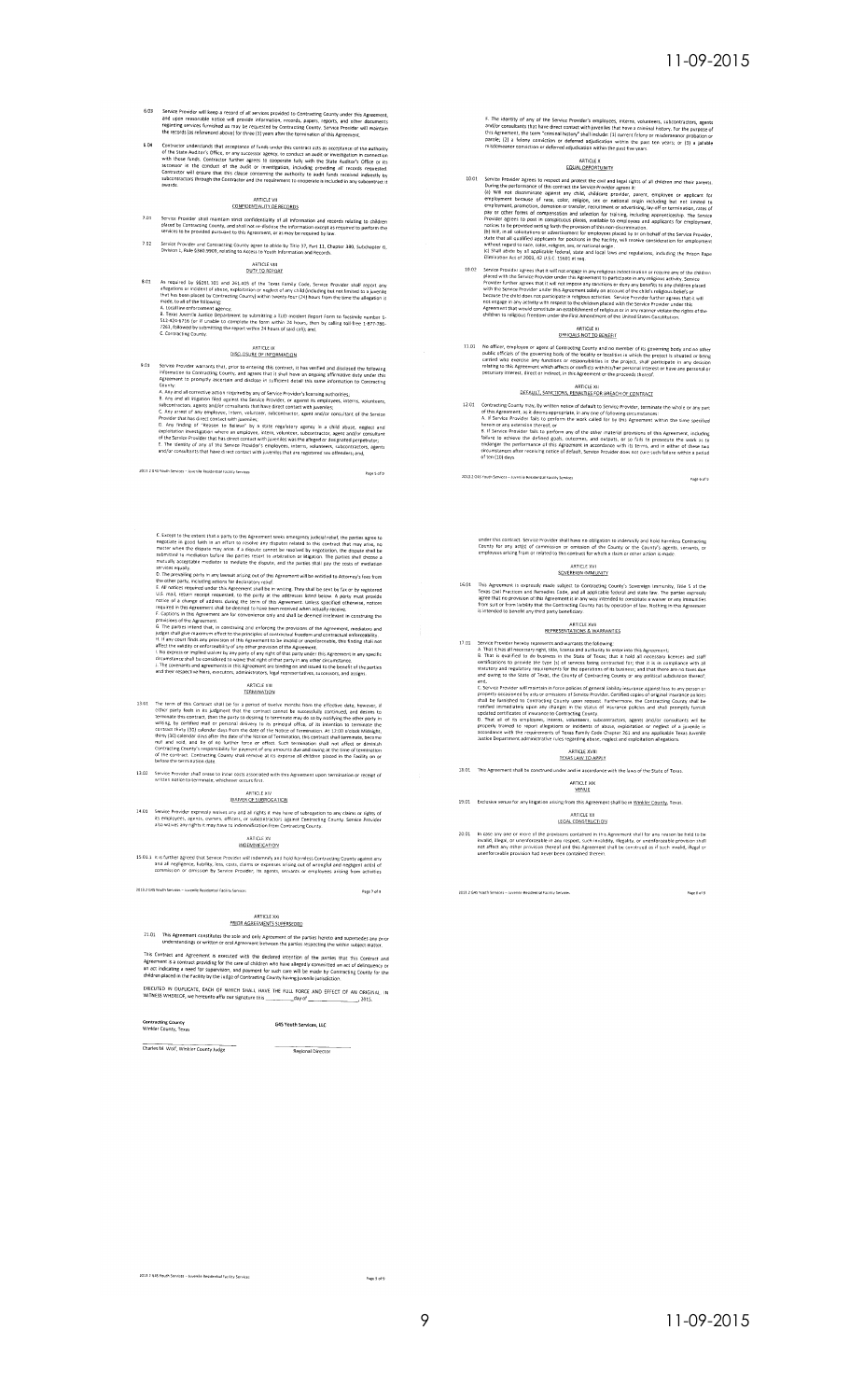- $6.03$ Service Provider will keep a record of all services provided to Contracting County under this Agreement,<br>and upon reasonable notice will provide information, records, papers, reports, and other documents<br>regarding services
- Contractor understands that acceptance of funds under this contract acts as acceptance of the authority of the State Auditor's Office, or any successors, its constraint in connection of the State Auditor's with those funds

## ARTICLE VII<br>CONFIDENTIALITY OF RECORDS

- Service Provider shall maintain strict confidentiality of all information and records relating to children<br>placed by Contracting County, and shall not re-disclose the information except as required to perform the<br>services
- 7.02 Service Provider and Contracting County agree to abide by Title 37, Part 11, Chapter 380, Subchapter G,<br>Division 1, Rule §380.9909, relating to Access to Youth Information and Records.

ARTICLE VIII

8.01 As required by \$9261.101 and 261.405 of the Texas Family Code, Service Provider shall report any allegations or incident of abuse, exploitation or neglect of any child (including but not limited to a light<br>that has b

## ARTICLE IX<br>DISCLOSURE OF INFORMATION

- -
- 

2012 2 GAS Vauth Secures - 1 - - - 1 - 0 -Page 5 of 9

- C. Except to the extent that a party to this Agreement seeise energency justical relief, the parties agree to negotiate in good faith in an effort to resolve any disputes related to their contract that may areas, no matte
- 
- 
- 

## ARTICLE XIII<br>TERMINATION

- 13.01 The term of this Contract shall be for a <u>periodic of</u> the common the effective date, however, if there party leeds in its judgment that the contract cannot be successfully continued, and desires to reminale this con
- 13.02 Service Provider shall cease to incur costs associated with this Agreement upon termination or receipt of<br>written notice to terminate, whichever occurs first.

## ARTICLE XIV<br>WAIVER OF SUBROGATION

14.01 Service Provider expressly waives any and all rights it may have of subrogation to any claims or rights of<br>its employees, agents, coviers, officers, or subcontractors against Contracting County. Service Provider<br>also

## ARTICLE XV<br>INDEMINIFICATION

15.01.1 It is further agreed that Service Provider will indemnify and hold harmless Contracting County against any<br>and all negligence, liability, loss, costs, claims or expenses arising out of wrongful and negligent act(s)

2013.2 G45 Youth Services - Juvenile Residential Facility Services

## ARTICLE XXI<br>PRIOR AGRÉEMENTS SUPERSEDED

21.01 This Agreement constitutes the sole and only Agreement of the parties hereto and supersedes any prior<br>understandings or written or oral Agreement between the parties respecting the within subject matter.

This Contract and Agreement is executed with the declared intention of the parties that this Contract and<br>Agreements a contract providing for the care of children who have allegedly committed an act of delinquency or<br>an ac

#### Contracting County<br>Winkler County, Texas G4S Youth Services, LLC

Charles M. Wolf, Winkler County Judge<br>Regional Director

2013.2 G4S Youth Services - Juvenile Residential Facility Services

Page 7 of 9

F. The identity of any of the Service Provider's employees, interns, volunteers, subcontractors, agents<br>and/or consultants that have direct contact with juveniles that have a criminal instance. For the purpose of<br>the diger

## ARTICLE X<br>EQUAL OPPORTUNITY

- $\frac{EQ(A, \text{OPPORIRHIT})}{1000}$ 10.01 Service Provider agrees to respect and protect the coil and legal rights of all children and their parents.<br>
During the performance of this contract the Service Provider agrees it:<br>
(a) Will
- Sometical control and the children is the children in the children in the children in the children in the children of the children of the children of the children of the children of the children of the children of the chil

## ARTICLE XI<br>OFFICIALS NOT TO BENEFIT

11.01 No officer, employee or agent of Contracting County and no member of its governing body and no other<br>public officials of the governing body of the locality or localities in which the project is situated or being<br>crit

## ARTICLE XII<br>DEFAULT, SANCTIONS, PENALTIES FOR BREACH OF CONTRACT

- 12.01 Contracting County may, by written notice of default to Sensical COCONTRACT<br>
2012 Contracting County may, by written notice of default to Sensice Protocon-<br>
2012 Contracting County may, by written notice of default t
	-

Page 6 of 9

## under this contract. Service Provider shall have no obligation to indemnify and hold harmless Contracting<br>County for any act(s) of commission or omission of the County or the County's agents, servants, or<br>employees arising

## ARTICLE XVI<br>SOVEREIGN IMMUNITY

16.01 This Agreement is expressly made subject to Contracting County's Sovereign immunity, Title 5 of the<br>Treas Citil Practices and Remedies Code, and all applicable feered and state law. The parties expressive<br>agree that

## ARTICLE XVII<br>REPRESENTATIONS & WARRANTIES

- 17.01 Service Provider hereby represents and was valued to consider the children in the state and staff of the state of the state of the state of the state of the state of the State of the State of the State of the State o
	- and tomig to the seate of research to constrain the community of the seated and and<br>and and the seated result in factor policies of general lability instructor against loss to any person or<br>property occasioned by acts or e

## ARTICLE XVIII<br>TEXAS LAW TO APPLY

- 18.01 This Agreement shall be construed under and in accord ce with the laws of the State of T
	- ARTICLE XIX
- 19.01 Exclusive venue for any litigation arising from this Agreement shall be in Winkler County, Texas

## ARTICLE XX<br>LEGAL CONSTRUCTION

20.01 In case any one or more of the provisions contained in this Agreement shall for any reason be held to be<br>invalid, illegal, or unenforceable in any respect, such invalidity, illegality, or unenforceable provision shal

2013.2 G4S Youth Services - Juvenile Residential Facility Services

Page 8 of 9

Pace 9 of 9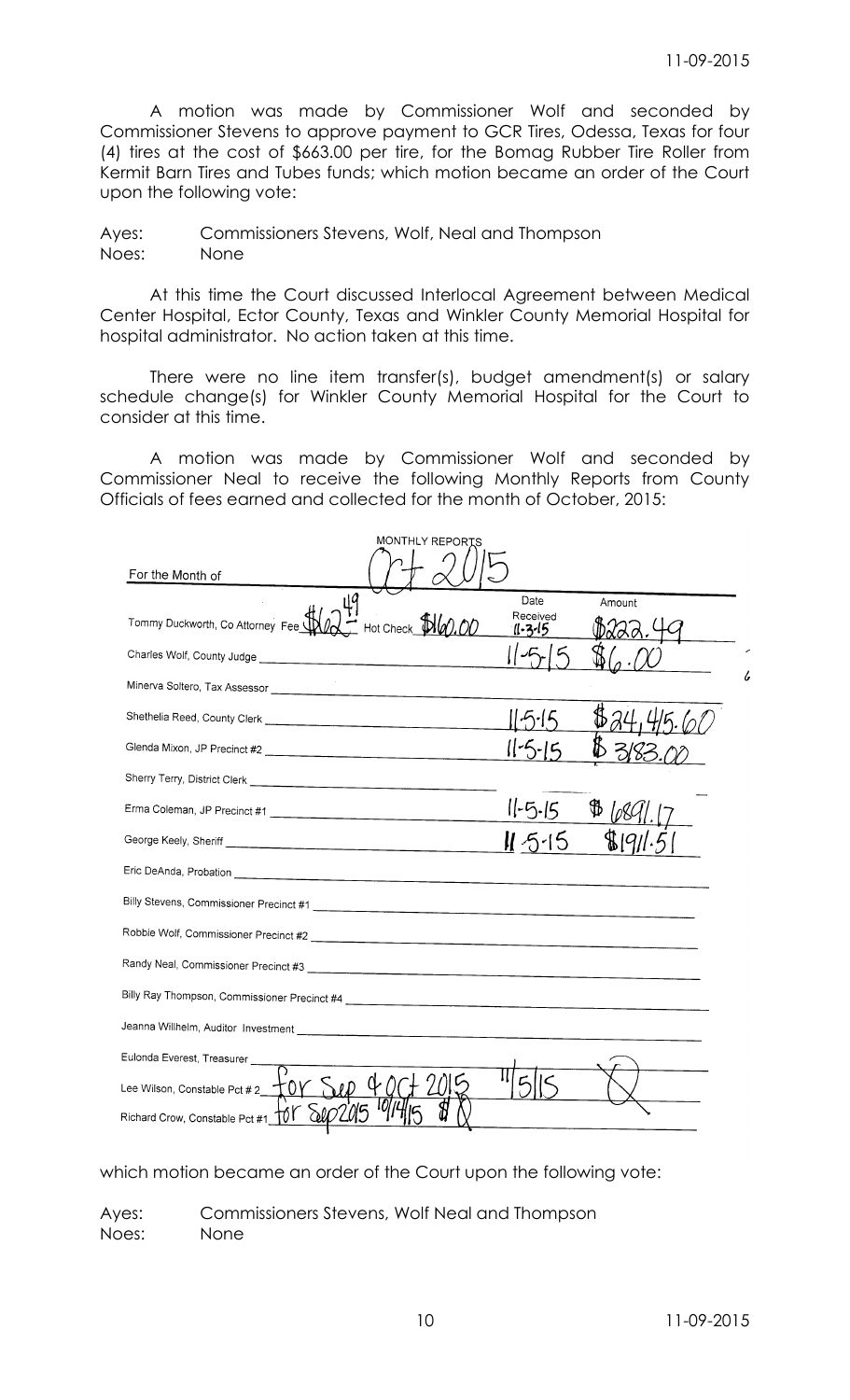A motion was made by Commissioner Wolf and seconded by Commissioner Stevens to approve payment to GCR Tires, Odessa, Texas for four (4) tires at the cost of \$663.00 per tire, for the Bomag Rubber Tire Roller from Kermit Barn Tires and Tubes funds; which motion became an order of the Court upon the following vote:

Ayes: Commissioners Stevens, Wolf, Neal and Thompson Noes: None

At this time the Court discussed Interlocal Agreement between Medical Center Hospital, Ector County, Texas and Winkler County Memorial Hospital for hospital administrator. No action taken at this time.

There were no line item transfer(s), budget amendment(s) or salary schedule change(s) for Winkler County Memorial Hospital for the Court to consider at this time.

A motion was made by Commissioner Wolf and seconded by Commissioner Neal to receive the following Monthly Reports from County Officials of fees earned and collected for the month of October, 2015:

| MONTHLY REPORTS                                                               |                             |        |    |
|-------------------------------------------------------------------------------|-----------------------------|--------|----|
| For the Month of                                                              |                             |        |    |
| цβ<br>Tommy Duckworth, Co Attorney Fee<br>Hot Check $\mathbb{P}\mathcal{W}$ . | Date<br>Received<br>11.2.15 | Amount |    |
|                                                                               |                             |        |    |
|                                                                               |                             |        | l, |
|                                                                               |                             |        |    |
|                                                                               |                             |        |    |
|                                                                               |                             |        |    |
|                                                                               | $11-5-15$                   |        |    |
|                                                                               | $11.5 - 15$                 |        |    |
|                                                                               |                             |        |    |
|                                                                               |                             |        |    |
|                                                                               |                             |        |    |
|                                                                               |                             |        |    |
|                                                                               |                             |        |    |
|                                                                               |                             |        |    |
| Eulonda Everest, Treasurer                                                    |                             |        |    |
| Lee Wilson, Constable Pct #2 $\top 0$                                         |                             |        |    |
| Richard Crow, Constable Pct #1 101                                            |                             |        |    |

which motion became an order of the Court upon the following vote:

Ayes: Commissioners Stevens, Wolf Neal and Thompson Noes: None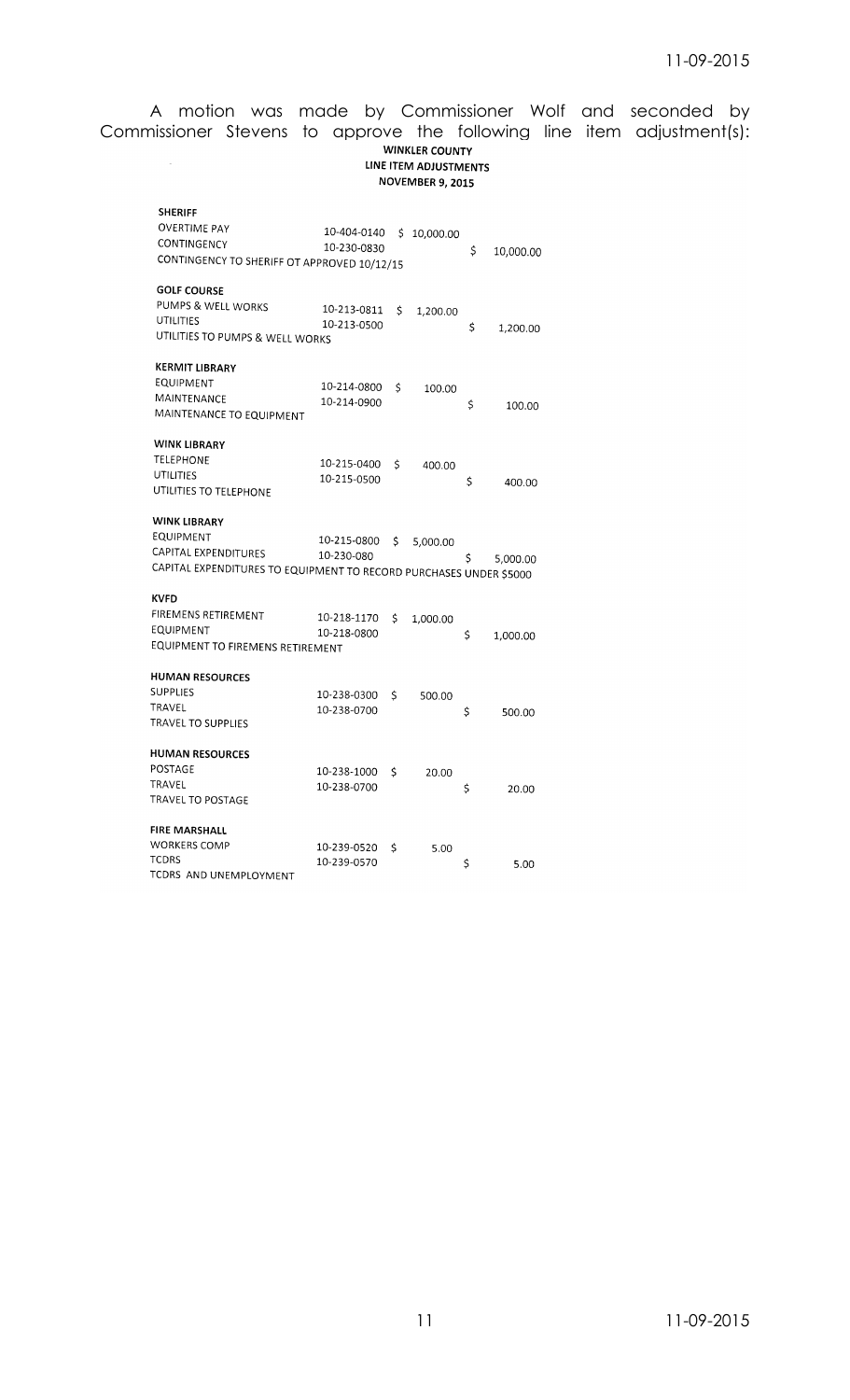## A motion was made by Commissioner Wolf and seconded by Commissioner Stevens to approve the following line item adjustment(s):**WINKLER COUNTY**

## LINE ITEM ADJUSTMENTS NOVEMBER 9, 2015

| <b>SHERIFF</b>                                                     |             |    |           |    |           |
|--------------------------------------------------------------------|-------------|----|-----------|----|-----------|
| OVERTIME PAY                                                       | 10-404-0140 | Ś  | 10,000.00 |    |           |
| CONTINGENCY                                                        | 10-230-0830 |    |           | \$ |           |
| CONTINGENCY TO SHERIFF OT APPROVED 10/12/15                        |             |    |           |    | 10,000.00 |
| <b>GOLF COURSE</b>                                                 |             |    |           |    |           |
| PUMPS & WELL WORKS                                                 | 10-213-0811 | Ś  | 1,200.00  |    |           |
| UTILITIES                                                          | 10-213-0500 |    |           | \$ | 1,200.00  |
| UTILITIES TO PUMPS & WELL WORKS                                    |             |    |           |    |           |
| KERMIT LIBRARY                                                     |             |    |           |    |           |
| EQUIPMENT                                                          | 10-214-0800 | \$ | 100.00    |    |           |
| MAINTENANCE                                                        | 10-214-0900 |    |           | \$ | 100.00    |
| MAINTENANCE TO EQUIPMENT                                           |             |    |           |    |           |
| <b>WINK LIBRARY</b>                                                |             |    |           |    |           |
| TELEPHONE                                                          | 10-215-0400 | \$ | 400.00    |    |           |
| UTILITIES                                                          | 10-215-0500 |    |           | \$ | 400.00    |
| UTILITIES TO TELEPHONE                                             |             |    |           |    |           |
| <b>WINK LIBRARY</b>                                                |             |    |           |    |           |
| EQUIPMENT                                                          | 10-215-0800 | Ś  | 5,000.00  |    |           |
| CAPITAL EXPENDITURES                                               | 10-230-080  |    |           | S  | 5,000.00  |
| CAPITAL EXPENDITURES TO EQUIPMENT TO RECORD PURCHASES UNDER \$5000 |             |    |           |    |           |
| <b>KVFD</b>                                                        |             |    |           |    |           |
| FIREMENS RETIREMENT                                                | 10-218-1170 | \$ | 1,000.00  |    |           |
| EQUIPMENT                                                          | 10-218-0800 |    |           | \$ | 1,000.00  |
| EQUIPMENT TO FIREMENS RETIREMENT                                   |             |    |           |    |           |
| <b>HUMAN RESOURCES</b>                                             |             |    |           |    |           |
| <b>SUPPLIES</b>                                                    | 10-238-0300 | \$ | 500.00    |    |           |
| TRAVEL                                                             | 10-238-0700 |    |           | \$ | 500.00    |
| TRAVEL TO SUPPLIES                                                 |             |    |           |    |           |
| <b>HUMAN RESOURCES</b>                                             |             |    |           |    |           |
| POSTAGE                                                            | 10-238-1000 | Ś  | 20.00     |    |           |
| TRAVEL                                                             | 10-238-0700 |    |           | \$ | 20.00     |
| TRAVEL TO POSTAGF                                                  |             |    |           |    |           |
| <b>FIRE MARSHALL</b>                                               |             |    |           |    |           |
| <b>WORKERS COMP</b>                                                | 10-239-0520 | \$ | 5.00      |    |           |
| <b>TCDRS</b>                                                       | 10-239-0570 |    |           | \$ | 5.00      |
| TCDRS AND UNEMPLOYMENT                                             |             |    |           |    |           |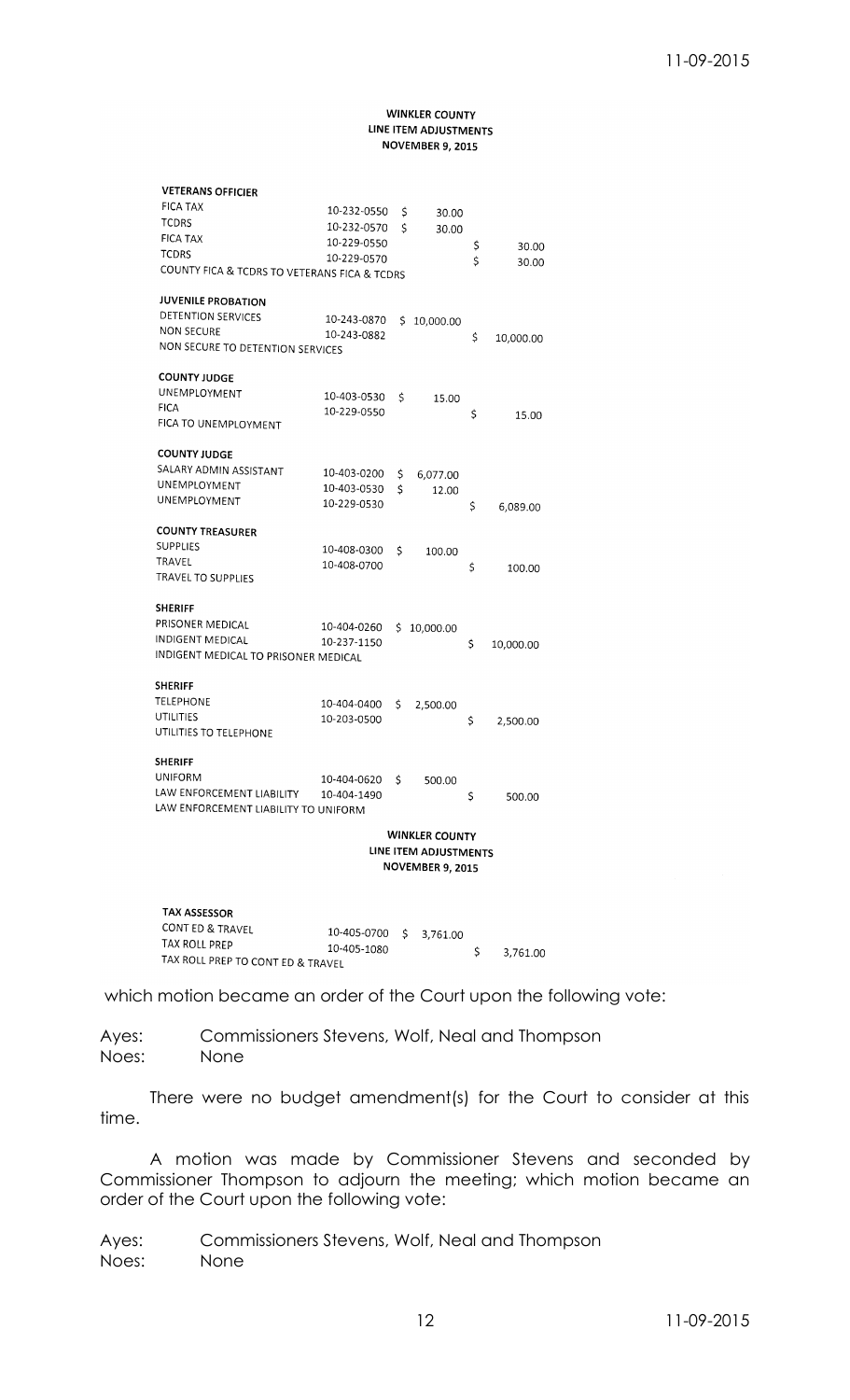#### **WINKLER COUNTY** LINE ITEM ADJUSTMENTS **NOVEMBER 9, 2015**

| <b>VETERANS OFFICIER</b>                     |                            |                       |                 |
|----------------------------------------------|----------------------------|-----------------------|-----------------|
| <b>FICA TAX</b>                              | 10-232-0550                | \$<br>30.00           |                 |
| <b>TCDRS</b>                                 | 10-232-0570                | \$                    |                 |
| <b>FICA TAX</b>                              | 10-229-0550                | 30.00                 |                 |
| <b>TCDRS</b>                                 | 10-229-0570                |                       | \$<br>30.00     |
| COUNTY FICA & TCDRS TO VETERANS FICA & TCDRS |                            |                       | \$<br>30.00     |
| <b>JUVENILE PROBATION</b>                    |                            |                       |                 |
| DETENTION SERVICES                           | 10-243-0870                | \$<br>10,000.00       |                 |
| <b>NON SECURE</b>                            | 10-243-0882                |                       | \$<br>10,000.00 |
| NON SECURE TO DETENTION SERVICES             |                            |                       |                 |
| <b>COUNTY JUDGE</b>                          |                            |                       |                 |
| UNEMPLOYMENT                                 | 10-403-0530                | \$<br>15.00           |                 |
| <b>FICA</b>                                  | 10-229-0550                |                       | \$<br>15.00     |
| FICA TO UNEMPLOYMENT                         |                            |                       |                 |
| <b>COUNTY JUDGE</b>                          |                            |                       |                 |
| SALARY ADMIN ASSISTANT                       | 10-403-0200                | \$<br>6,077.00        |                 |
| UNEMPLOYMENT                                 | 10-403-0530                | \$<br>12.00           |                 |
| UNEMPLOYMENT                                 | 10-229-0530                |                       | \$<br>6,089.00  |
| <b>COUNTY TREASURER</b>                      |                            |                       |                 |
| <b>SUPPLIES</b>                              |                            |                       |                 |
| TRAVEL                                       | 10-408-0300                | \$<br>100.00          |                 |
| TRAVEL TO SUPPLIES                           | 10-408-0700                |                       | \$<br>100.00    |
| SHERIFF                                      |                            |                       |                 |
| PRISONER MEDICAL                             |                            |                       |                 |
| INDIGENT MEDICAL                             | 10-404-0260<br>10-237-1150 | \$<br>10,000.00       |                 |
| INDIGENT MEDICAL TO PRISONER MEDICAL         |                            |                       | \$<br>10,000.00 |
| SHERIFF                                      |                            |                       |                 |
| TELEPHONE                                    | 10-404-0400                | \$<br>2,500.00        |                 |
| UTILITIES                                    | 10-203-0500                |                       | \$              |
| UTILITIES TO TELEPHONE                       |                            |                       | 2,500.00        |
| SHERIFF                                      |                            |                       |                 |
| UNIFORM                                      | 10-404-0620                | \$<br>500.00          |                 |
| LAW ENFORCEMENT LIABILITY                    | 10-404-1490                |                       | \$<br>500.00    |
| LAW ENFORCEMENT LIABILITY TO UNIFORM         |                            |                       |                 |
|                                              |                            | <b>WINKLER COUNTY</b> |                 |
|                                              |                            | LINE ITEM ADJUSTMENTS |                 |
|                                              |                            | NOVEMBER 9, 2015      |                 |
|                                              |                            |                       |                 |
| TAX ASSESSOR                                 |                            |                       |                 |
| CONT ED & TRAVEL                             | 10-405-0700                | \$<br>3,761.00        |                 |
| TAX ROLL PREP                                | 10-405-1080                |                       | \$<br>3,761.00  |

which motion became an order of the Court upon the following vote:

Ayes: Commissioners Stevens, Wolf, Neal and Thompson Noes: None

TAX ROLL PREP TO CONT ED & TRAVEL

There were no budget amendment(s) for the Court to consider at this time.

A motion was made by Commissioner Stevens and seconded by Commissioner Thompson to adjourn the meeting; which motion became an order of the Court upon the following vote:

Ayes: Commissioners Stevens, Wolf, Neal and Thompson Noes: None